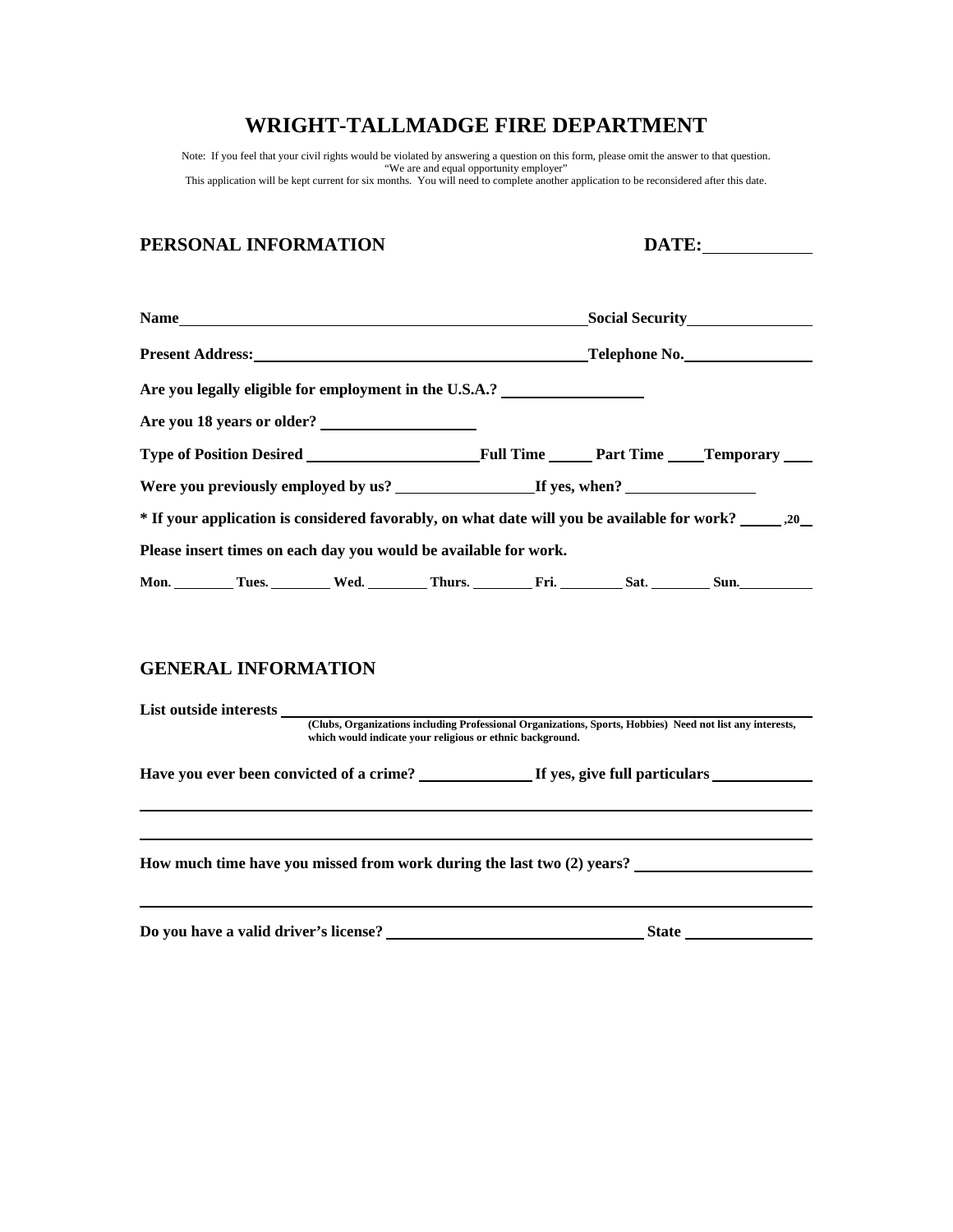Note: If you feel that your civil rights would be violated by answering a question on this form, please omit the answer to that question. "We are and equal opportunity employer" This application will be kept current for six months. You will need to complete another application to be reconsidered after this date.

# **PERSONAL INFORMATION DATE:**

|                                                                                   | <b>Present Address:</b> Telephone No. The Contract of the Contract of the Contract of Telephone No.           |
|-----------------------------------------------------------------------------------|---------------------------------------------------------------------------------------------------------------|
| Are you legally eligible for employment in the U.S.A.? __________________________ |                                                                                                               |
| Are you 18 years or older?                                                        |                                                                                                               |
|                                                                                   |                                                                                                               |
|                                                                                   |                                                                                                               |
|                                                                                   | * If your application is considered favorably, on what date will you be available for work? ________ , 20____ |
| Please insert times on each day you would be available for work.                  |                                                                                                               |
|                                                                                   | Mon. Tues. Wed. Thurs. Fri. Sat. Sun. Sun.                                                                    |

# **GENERAL INFORMATION**

| List outside interests<br>(Clubs, Organizations including Professional Organizations, Sports, Hobbies) Need not list any interests,<br>which would indicate your religious or ethnic background. |  |                                                                        |  |  |  |
|--------------------------------------------------------------------------------------------------------------------------------------------------------------------------------------------------|--|------------------------------------------------------------------------|--|--|--|
|                                                                                                                                                                                                  |  |                                                                        |  |  |  |
|                                                                                                                                                                                                  |  | How much time have you missed from work during the last two (2) years? |  |  |  |
|                                                                                                                                                                                                  |  |                                                                        |  |  |  |
|                                                                                                                                                                                                  |  | <b>State</b>                                                           |  |  |  |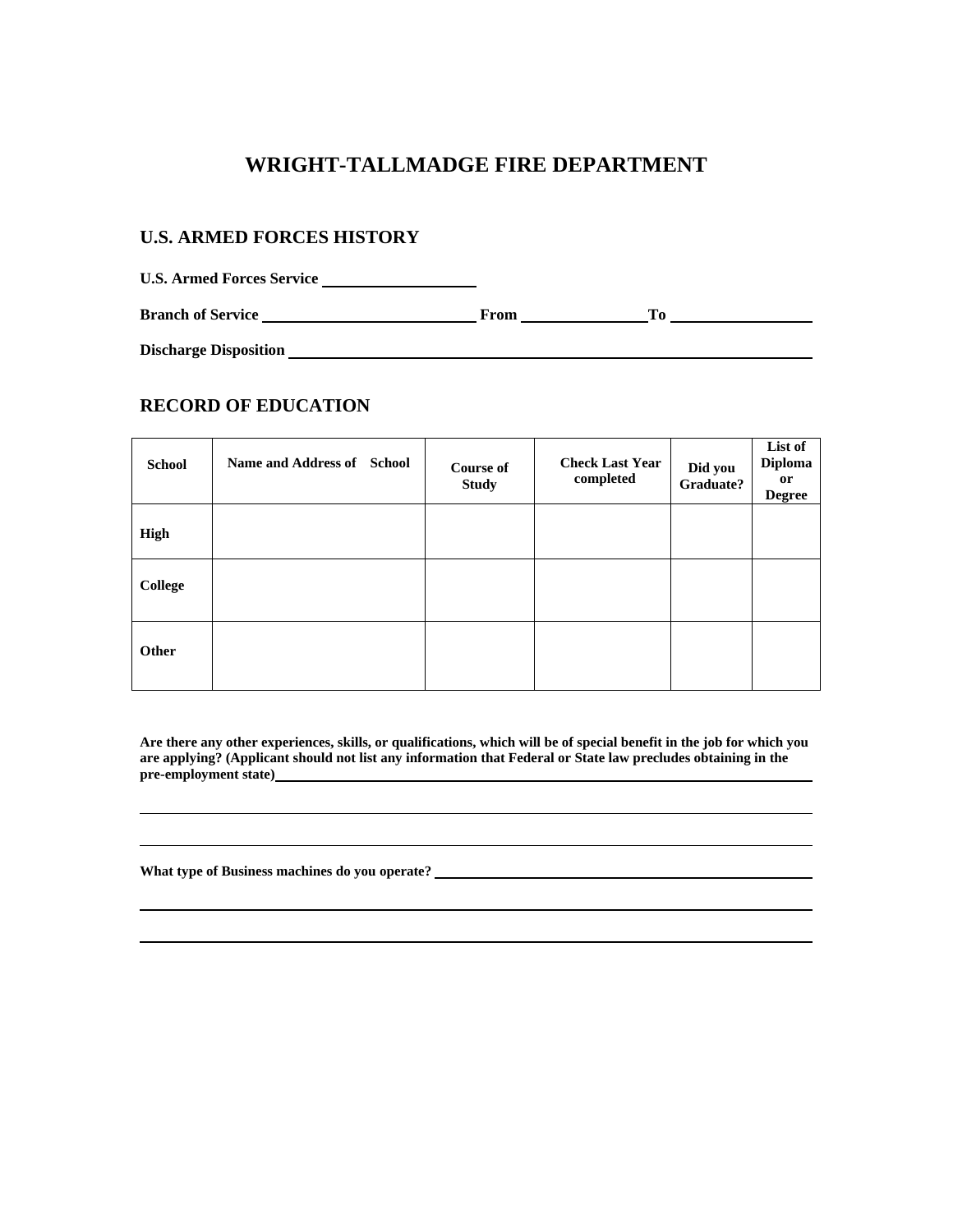## **U.S. ARMED FORCES HISTORY**

**U.S. Armed Forces Service Branch of Service From To** 

**Discharge Disposition** 

# **RECORD OF EDUCATION**

| <b>School</b>  | Name and Address of School | <b>Course of</b><br><b>Study</b> | <b>Check Last Year</b><br>completed | Did you<br>Graduate? | List of<br><b>Diploma</b><br><sub>or</sub><br><b>Degree</b> |
|----------------|----------------------------|----------------------------------|-------------------------------------|----------------------|-------------------------------------------------------------|
| High           |                            |                                  |                                     |                      |                                                             |
| <b>College</b> |                            |                                  |                                     |                      |                                                             |
| Other          |                            |                                  |                                     |                      |                                                             |

**Are there any other experiences, skills, or qualifications, which will be of special benefit in the job for which you are applying? (Applicant should not list any information that Federal or State law precludes obtaining in the pre-employment state)** 

**What type of Business machines do you operate?**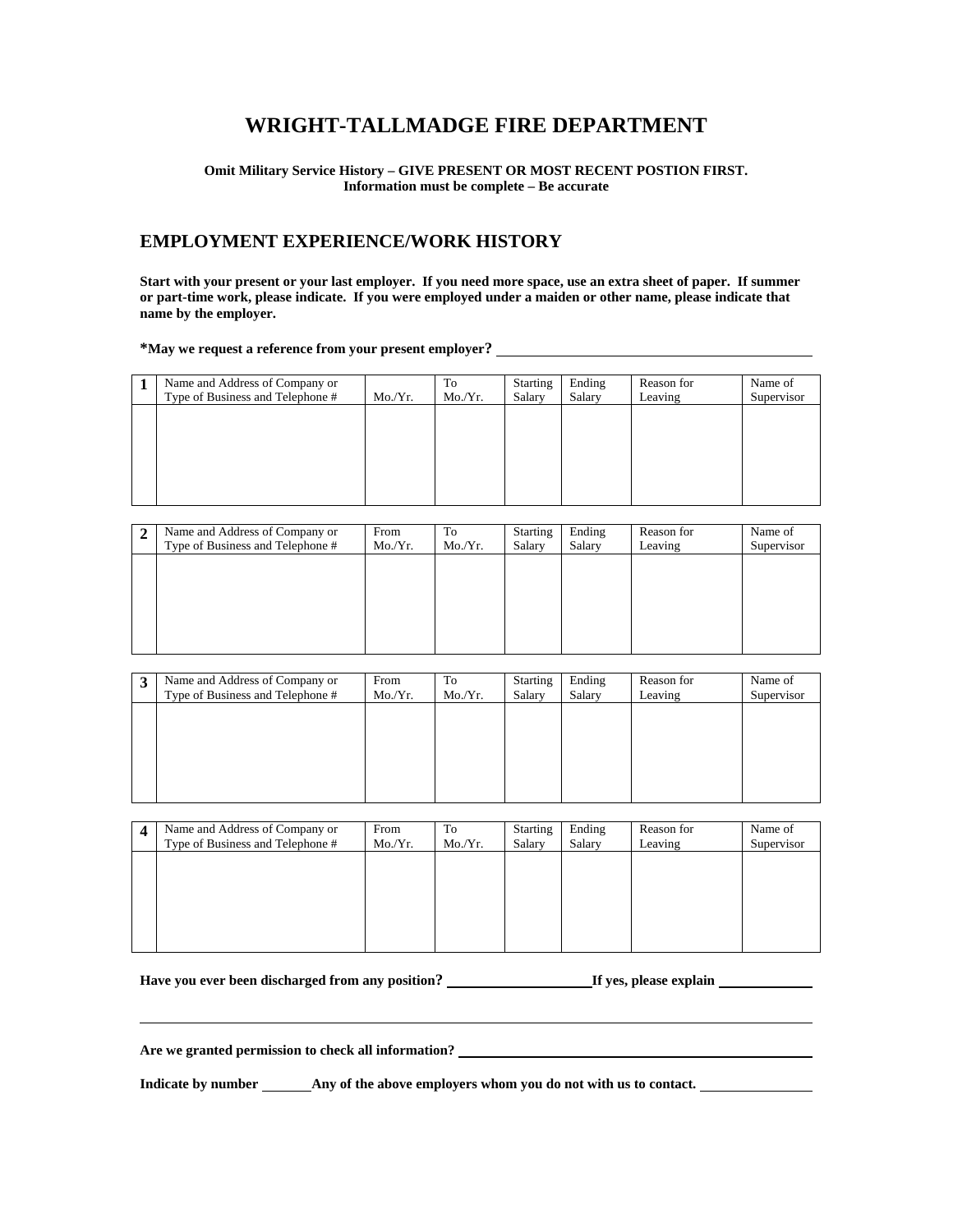### **Omit Military Service History – GIVE PRESENT OR MOST RECENT POSTION FIRST. Information must be complete – Be accurate**

## **EMPLOYMENT EXPERIENCE/WORK HISTORY**

**Start with your present or your last employer. If you need more space, use an extra sheet of paper. If summer or part-time work, please indicate. If you were employed under a maiden or other name, please indicate that name by the employer.** 

**\*May we request a reference from your present employer?** 

| Name and Address of Company or<br>Type of Business and Telephone # | Mo/Yr. | To<br>Mo./Yr. | Starting<br>Salary | Ending<br>Salary | Reason for<br>Leaving | Name of<br>Supervisor |
|--------------------------------------------------------------------|--------|---------------|--------------------|------------------|-----------------------|-----------------------|
|                                                                    |        |               |                    |                  |                       |                       |
|                                                                    |        |               |                    |                  |                       |                       |
|                                                                    |        |               |                    |                  |                       |                       |

| 2 | Name and Address of Company or<br>Type of Business and Telephone # | From<br>Mo/Yr. | To<br>Mo/Yr. | <b>Starting</b><br>Salary | Ending<br>Salary | Reason for<br>Leaving | Name of<br>Supervisor |
|---|--------------------------------------------------------------------|----------------|--------------|---------------------------|------------------|-----------------------|-----------------------|
|   |                                                                    |                |              |                           |                  |                       |                       |
|   |                                                                    |                |              |                           |                  |                       |                       |
|   |                                                                    |                |              |                           |                  |                       |                       |
|   |                                                                    |                |              |                           |                  |                       |                       |

| 3 | Name and Address of Company or<br>Type of Business and Telephone # | From<br>Mo/Yr. | To<br>Mo/Yr. | <b>Starting</b><br>Salary | Ending<br>Salary | Reason for<br>Leaving | Name of<br>Supervisor |
|---|--------------------------------------------------------------------|----------------|--------------|---------------------------|------------------|-----------------------|-----------------------|
|   |                                                                    |                |              |                           |                  |                       |                       |
|   |                                                                    |                |              |                           |                  |                       |                       |
|   |                                                                    |                |              |                           |                  |                       |                       |

| Name and Address of Company or<br>Type of Business and Telephone # | From<br>Mo/Yr. | To<br>Mo/Yr. | Starting<br>Salary | Ending<br>Salary | Reason for<br>Leaving | Name of<br>Supervisor |
|--------------------------------------------------------------------|----------------|--------------|--------------------|------------------|-----------------------|-----------------------|
|                                                                    |                |              |                    |                  |                       |                       |
|                                                                    |                |              |                    |                  |                       |                       |
|                                                                    |                |              |                    |                  |                       |                       |

Have you ever been discharged from any position? **If yes, please explain** 

**Are we granted permission to check all information?** 

Indicate by number **Any of the above employers whom you do not with us to contact.**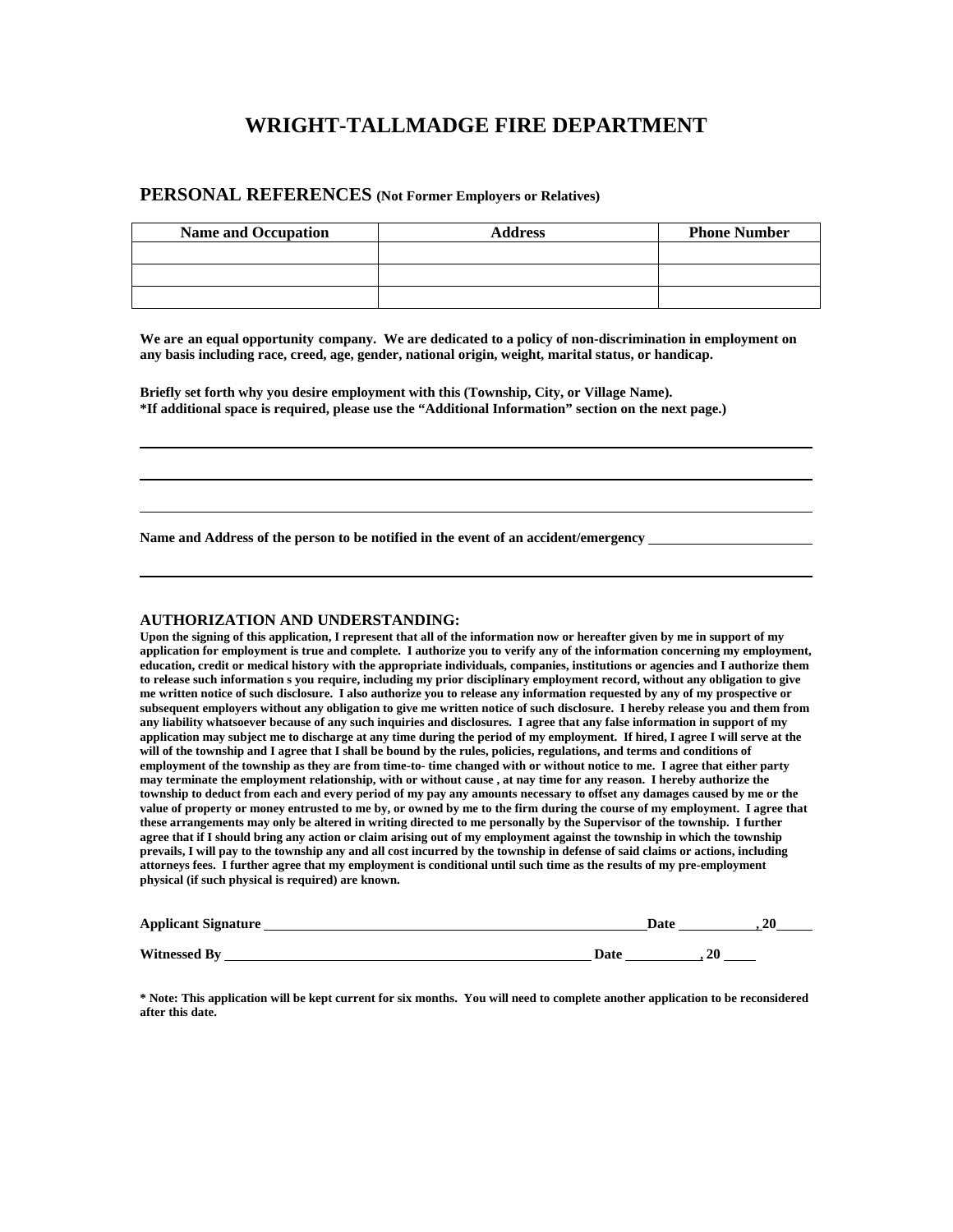## **PERSONAL REFERENCES (Not Former Employers or Relatives)**

| <b>Name and Occupation</b> | <b>Address</b> | <b>Phone Number</b> |
|----------------------------|----------------|---------------------|
|                            |                |                     |
|                            |                |                     |
|                            |                |                     |

**We are an equal opportunity company. We are dedicated to a policy of non-discrimination in employment on any basis including race, creed, age, gender, national origin, weight, marital status, or handicap.**

**Briefly set forth why you desire employment with this (Township, City, or Village Name). \*If additional space is required, please use the "Additional Information" section on the next page.)** 

**Name and Address of the person to be notified in the event of an accident/emergency** 

#### **AUTHORIZATION AND UNDERSTANDING:**

**Upon the signing of this application, I represent that all of the information now or hereafter given by me in support of my application for employment is true and complete. I authorize you to verify any of the information concerning my employment, education, credit or medical history with the appropriate individuals, companies, institutions or agencies and I authorize them to release such information s you require, including my prior disciplinary employment record, without any obligation to give me written notice of such disclosure. I also authorize you to release any information requested by any of my prospective or subsequent employers without any obligation to give me written notice of such disclosure. I hereby release you and them from any liability whatsoever because of any such inquiries and disclosures. I agree that any false information in support of my application may subject me to discharge at any time during the period of my employment. If hired, I agree I will serve at the will of the township and I agree that I shall be bound by the rules, policies, regulations, and terms and conditions of employment of the township as they are from time-to- time changed with or without notice to me. I agree that either party may terminate the employment relationship, with or without cause , at nay time for any reason. I hereby authorize the township to deduct from each and every period of my pay any amounts necessary to offset any damages caused by me or the value of property or money entrusted to me by, or owned by me to the firm during the course of my employment. I agree that these arrangements may only be altered in writing directed to me personally by the Supervisor of the township. I further agree that if I should bring any action or claim arising out of my employment against the township in which the township prevails, I will pay to the township any and all cost incurred by the township in defense of said claims or actions, including attorneys fees. I further agree that my employment is conditional until such time as the results of my pre-employment physical (if such physical is required) are known.** 

| <b>Applicant Signature</b> | Date | 2 <sub>0</sub> |
|----------------------------|------|----------------|
| <b>Witnessed By</b>        | Date | 20             |

**\* Note: This application will be kept current for six months. You will need to complete another application to be reconsidered after this date.**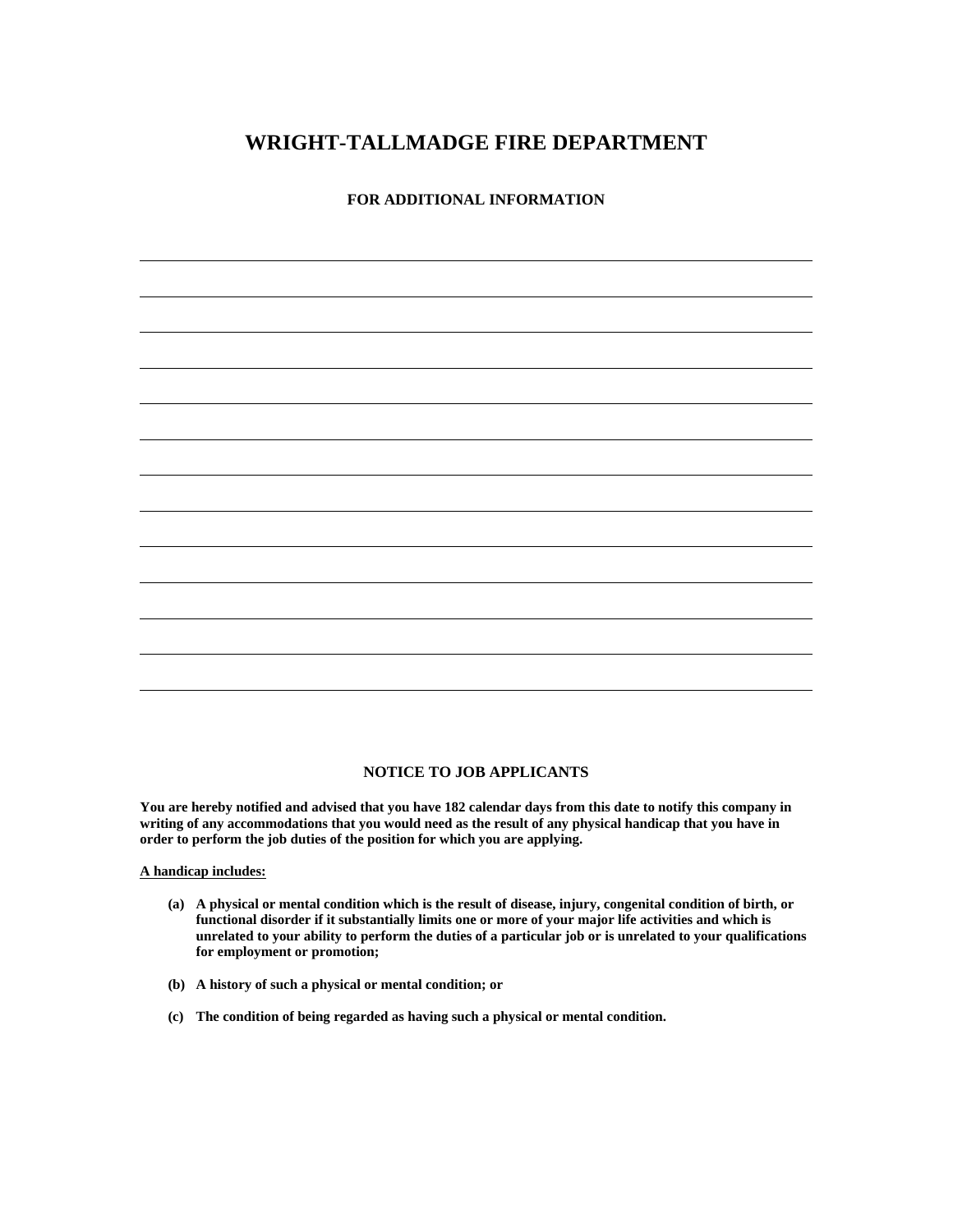**FOR ADDITIONAL INFORMATION** 

### **NOTICE TO JOB APPLICANTS**

**You are hereby notified and advised that you have 182 calendar days from this date to notify this company in writing of any accommodations that you would need as the result of any physical handicap that you have in order to perform the job duties of the position for which you are applying.** 

**A handicap includes:**

 $\overline{a}$ 

 $\overline{a}$ 

- **(a) A physical or mental condition which is the result of disease, injury, congenital condition of birth, or functional disorder if it substantially limits one or more of your major life activities and which is unrelated to your ability to perform the duties of a particular job or is unrelated to your qualifications for employment or promotion;**
- **(b) A history of such a physical or mental condition; or**
- **(c) The condition of being regarded as having such a physical or mental condition.**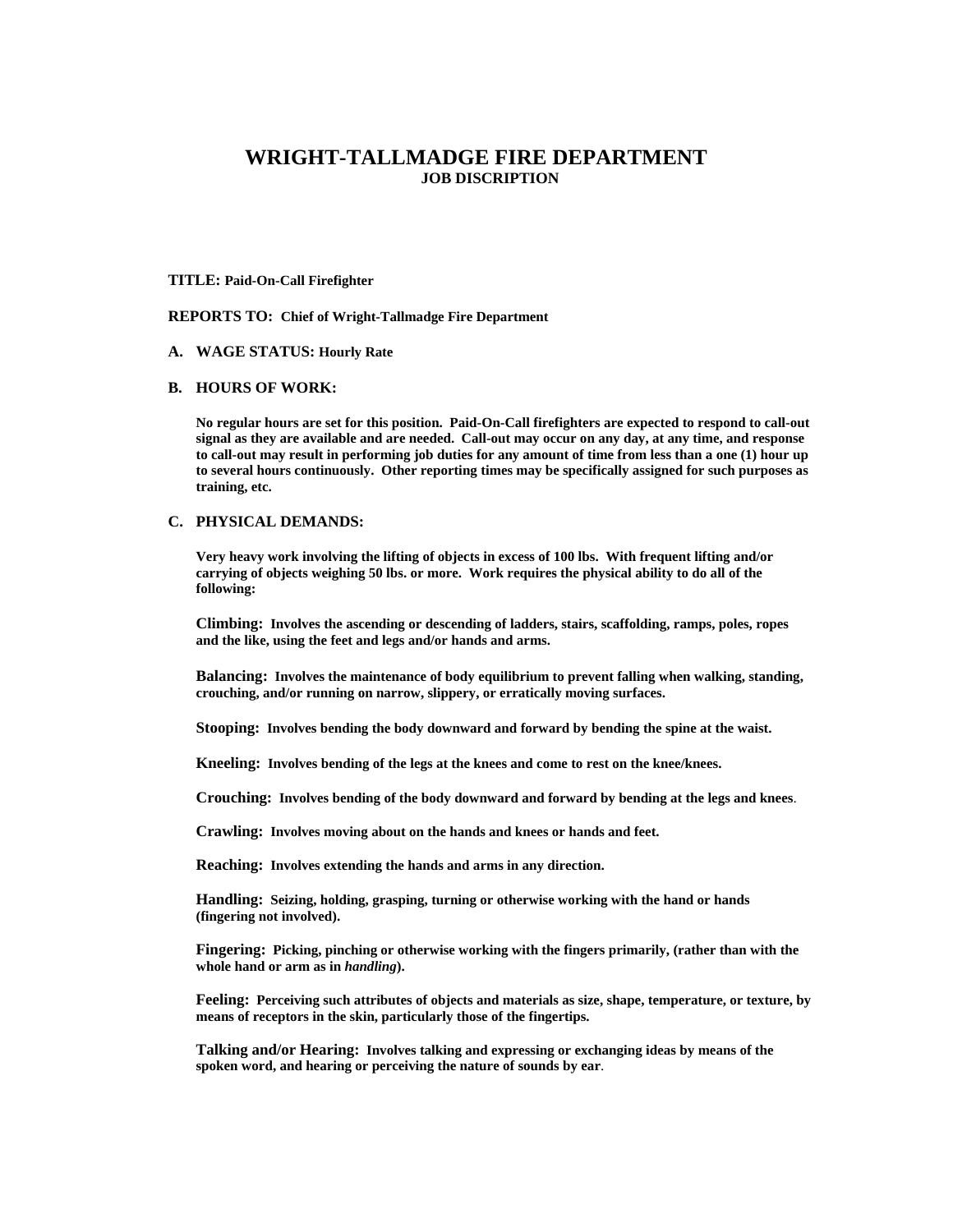#### **TITLE: Paid-On-Call Firefighter**

**REPORTS TO: Chief of Wright-Tallmadge Fire Department**

### **A. WAGE STATUS: Hourly Rate**

## **B. HOURS OF WORK:**

**No regular hours are set for this position. Paid-On-Call firefighters are expected to respond to call-out signal as they are available and are needed. Call-out may occur on any day, at any time, and response to call-out may result in performing job duties for any amount of time from less than a one (1) hour up to several hours continuously. Other reporting times may be specifically assigned for such purposes as training, etc.** 

### **C. PHYSICAL DEMANDS:**

**Very heavy work involving the lifting of objects in excess of 100 lbs. With frequent lifting and/or carrying of objects weighing 50 lbs. or more. Work requires the physical ability to do all of the following:** 

**Climbing: Involves the ascending or descending of ladders, stairs, scaffolding, ramps, poles, ropes and the like, using the feet and legs and/or hands and arms.** 

**Balancing: Involves the maintenance of body equilibrium to prevent falling when walking, standing, crouching, and/or running on narrow, slippery, or erratically moving surfaces.**

**Stooping: Involves bending the body downward and forward by bending the spine at the waist.**

**Kneeling: Involves bending of the legs at the knees and come to rest on the knee/knees.**

**Crouching: Involves bending of the body downward and forward by bending at the legs and knees**.

**Crawling: Involves moving about on the hands and knees or hands and feet.** 

**Reaching: Involves extending the hands and arms in any direction.**

**Handling: Seizing, holding, grasping, turning or otherwise working with the hand or hands (fingering not involved).**

**Fingering: Picking, pinching or otherwise working with the fingers primarily, (rather than with the whole hand or arm as in** *handling***).**

**Feeling: Perceiving such attributes of objects and materials as size, shape, temperature, or texture, by means of receptors in the skin, particularly those of the fingertips.** 

**Talking and/or Hearing: Involves talking and expressing or exchanging ideas by means of the spoken word, and hearing or perceiving the nature of sounds by ear**.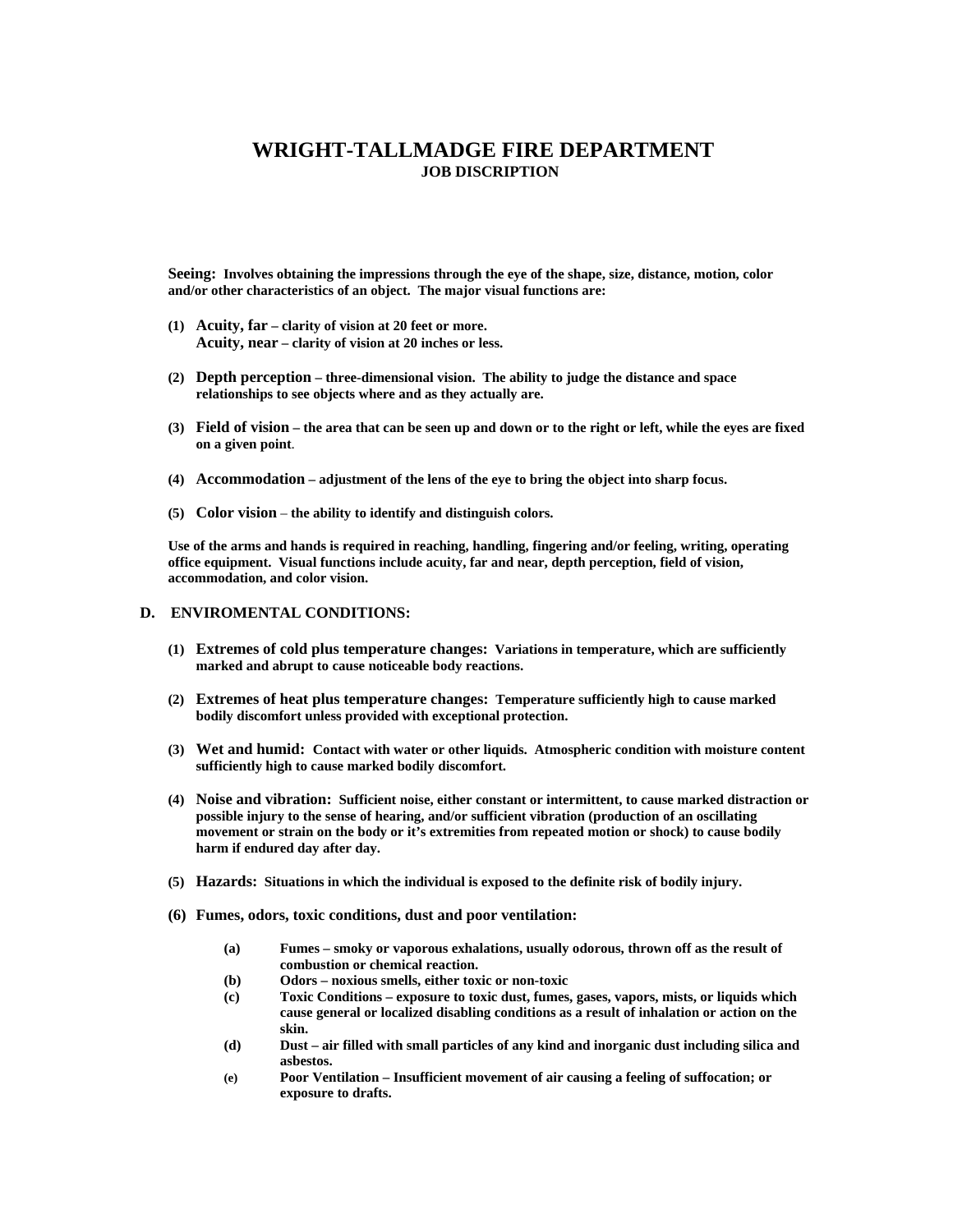**Seeing: Involves obtaining the impressions through the eye of the shape, size, distance, motion, color and/or other characteristics of an object. The major visual functions are:**

- **(1) Acuity, far clarity of vision at 20 feet or more. Acuity, near – clarity of vision at 20 inches or less.**
- **(2) Depth perception three-dimensional vision. The ability to judge the distance and space relationships to see objects where and as they actually are.**
- **(3) Field of vision the area that can be seen up and down or to the right or left, while the eyes are fixed on a given point**.
- **(4) Accommodation adjustment of the lens of the eye to bring the object into sharp focus.**
- **(5) Color vision the ability to identify and distinguish colors.**

**Use of the arms and hands is required in reaching, handling, fingering and/or feeling, writing, operating office equipment. Visual functions include acuity, far and near, depth perception, field of vision, accommodation, and color vision.** 

### **D. ENVIROMENTAL CONDITIONS:**

- **(1) Extremes of cold plus temperature changes: Variations in temperature, which are sufficiently marked and abrupt to cause noticeable body reactions.**
- **(2) Extremes of heat plus temperature changes: Temperature sufficiently high to cause marked bodily discomfort unless provided with exceptional protection.**
- **(3) Wet and humid: Contact with water or other liquids. Atmospheric condition with moisture content sufficiently high to cause marked bodily discomfort.**
- **(4) Noise and vibration: Sufficient noise, either constant or intermittent, to cause marked distraction or possible injury to the sense of hearing, and/or sufficient vibration (production of an oscillating movement or strain on the body or it's extremities from repeated motion or shock) to cause bodily harm if endured day after day.**
- **(5) Hazards: Situations in which the individual is exposed to the definite risk of bodily injury.**
- **(6) Fumes, odors, toxic conditions, dust and poor ventilation:**
	- **(a) Fumes smoky or vaporous exhalations, usually odorous, thrown off as the result of combustion or chemical reaction.**
	- **(b) Odors noxious smells, either toxic or non-toxic**
	- **(c) Toxic Conditions exposure to toxic dust, fumes, gases, vapors, mists, or liquids which cause general or localized disabling conditions as a result of inhalation or action on the skin.**
	- **(d) Dust air filled with small particles of any kind and inorganic dust including silica and asbestos.**
	- **(e) Poor Ventilation Insufficient movement of air causing a feeling of suffocation; or exposure to drafts.**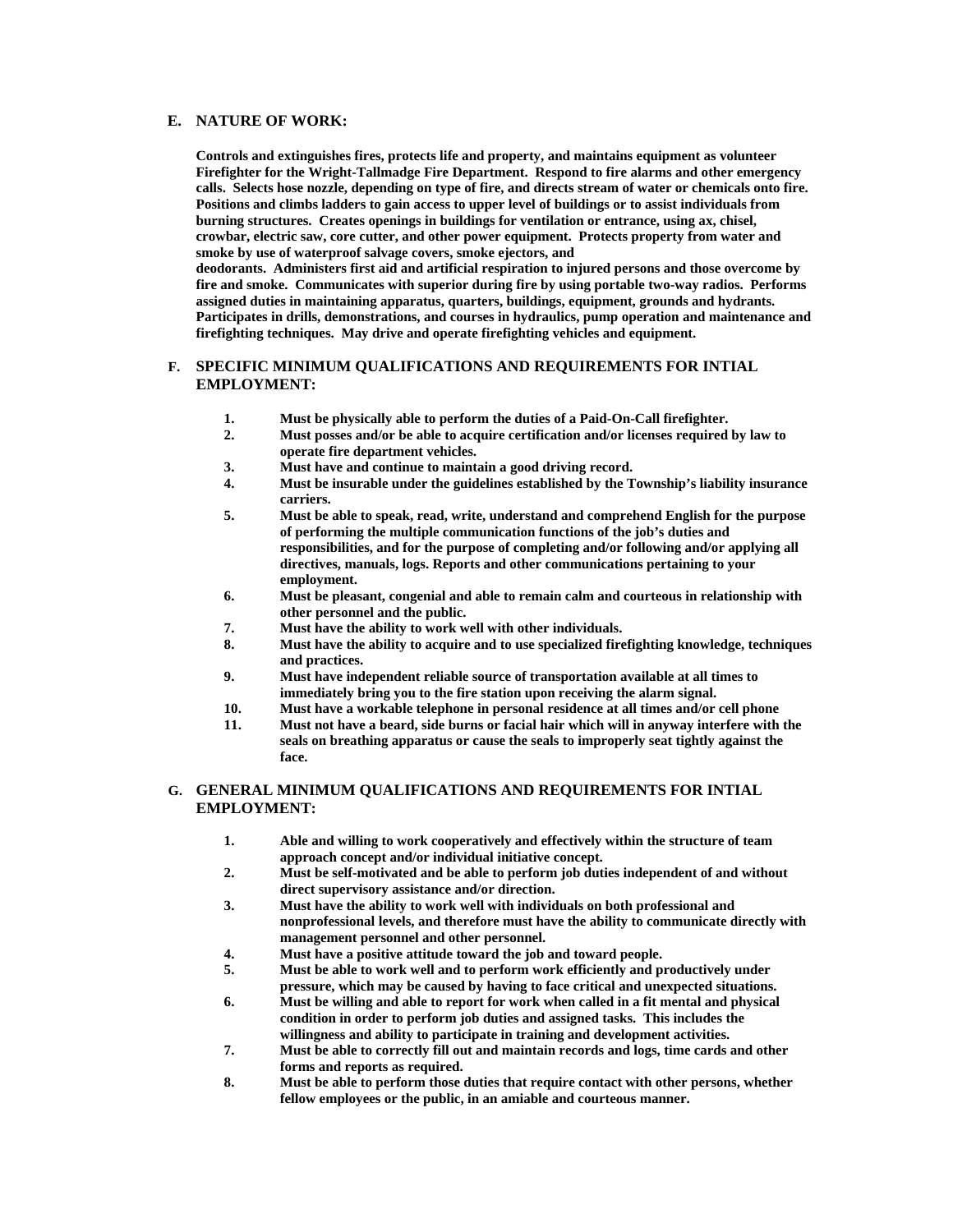## **E. NATURE OF WORK:**

**Controls and extinguishes fires, protects life and property, and maintains equipment as volunteer Firefighter for the Wright-Tallmadge Fire Department. Respond to fire alarms and other emergency calls. Selects hose nozzle, depending on type of fire, and directs stream of water or chemicals onto fire. Positions and climbs ladders to gain access to upper level of buildings or to assist individuals from burning structures. Creates openings in buildings for ventilation or entrance, using ax, chisel, crowbar, electric saw, core cutter, and other power equipment. Protects property from water and smoke by use of waterproof salvage covers, smoke ejectors, and deodorants. Administers first aid and artificial respiration to injured persons and those overcome by** 

**fire and smoke. Communicates with superior during fire by using portable two-way radios. Performs assigned duties in maintaining apparatus, quarters, buildings, equipment, grounds and hydrants. Participates in drills, demonstrations, and courses in hydraulics, pump operation and maintenance and firefighting techniques. May drive and operate firefighting vehicles and equipment.** 

## **F. SPECIFIC MINIMUM QUALIFICATIONS AND REQUIREMENTS FOR INTIAL EMPLOYMENT:**

- **1. Must be physically able to perform the duties of a Paid-On-Call firefighter.**
- **2. Must posses and/or be able to acquire certification and/or licenses required by law to operate fire department vehicles.**
- **3. Must have and continue to maintain a good driving record.**
- **4. Must be insurable under the guidelines established by the Township's liability insurance carriers.**
- **5. Must be able to speak, read, write, understand and comprehend English for the purpose of performing the multiple communication functions of the job's duties and responsibilities, and for the purpose of completing and/or following and/or applying all directives, manuals, logs. Reports and other communications pertaining to your employment.**
- **6. Must be pleasant, congenial and able to remain calm and courteous in relationship with other personnel and the public.**
- **7. Must have the ability to work well with other individuals.**
- **8. Must have the ability to acquire and to use specialized firefighting knowledge, techniques and practices.**
- **9. Must have independent reliable source of transportation available at all times to immediately bring you to the fire station upon receiving the alarm signal.**
- **10. Must have a workable telephone in personal residence at all times and/or cell phone**
- **11. Must not have a beard, side burns or facial hair which will in anyway interfere with the seals on breathing apparatus or cause the seals to improperly seat tightly against the face.**

## **G. GENERAL MINIMUM QUALIFICATIONS AND REQUIREMENTS FOR INTIAL EMPLOYMENT:**

- **1. Able and willing to work cooperatively and effectively within the structure of team approach concept and/or individual initiative concept.**
- **2. Must be self-motivated and be able to perform job duties independent of and without direct supervisory assistance and/or direction.**
- **3. Must have the ability to work well with individuals on both professional and nonprofessional levels, and therefore must have the ability to communicate directly with management personnel and other personnel.**
- **4. Must have a positive attitude toward the job and toward people.**
- **5. Must be able to work well and to perform work efficiently and productively under pressure, which may be caused by having to face critical and unexpected situations.**
- **6. Must be willing and able to report for work when called in a fit mental and physical condition in order to perform job duties and assigned tasks. This includes the willingness and ability to participate in training and development activities.**
- **7. Must be able to correctly fill out and maintain records and logs, time cards and other forms and reports as required.**
- **8. Must be able to perform those duties that require contact with other persons, whether fellow employees or the public, in an amiable and courteous manner.**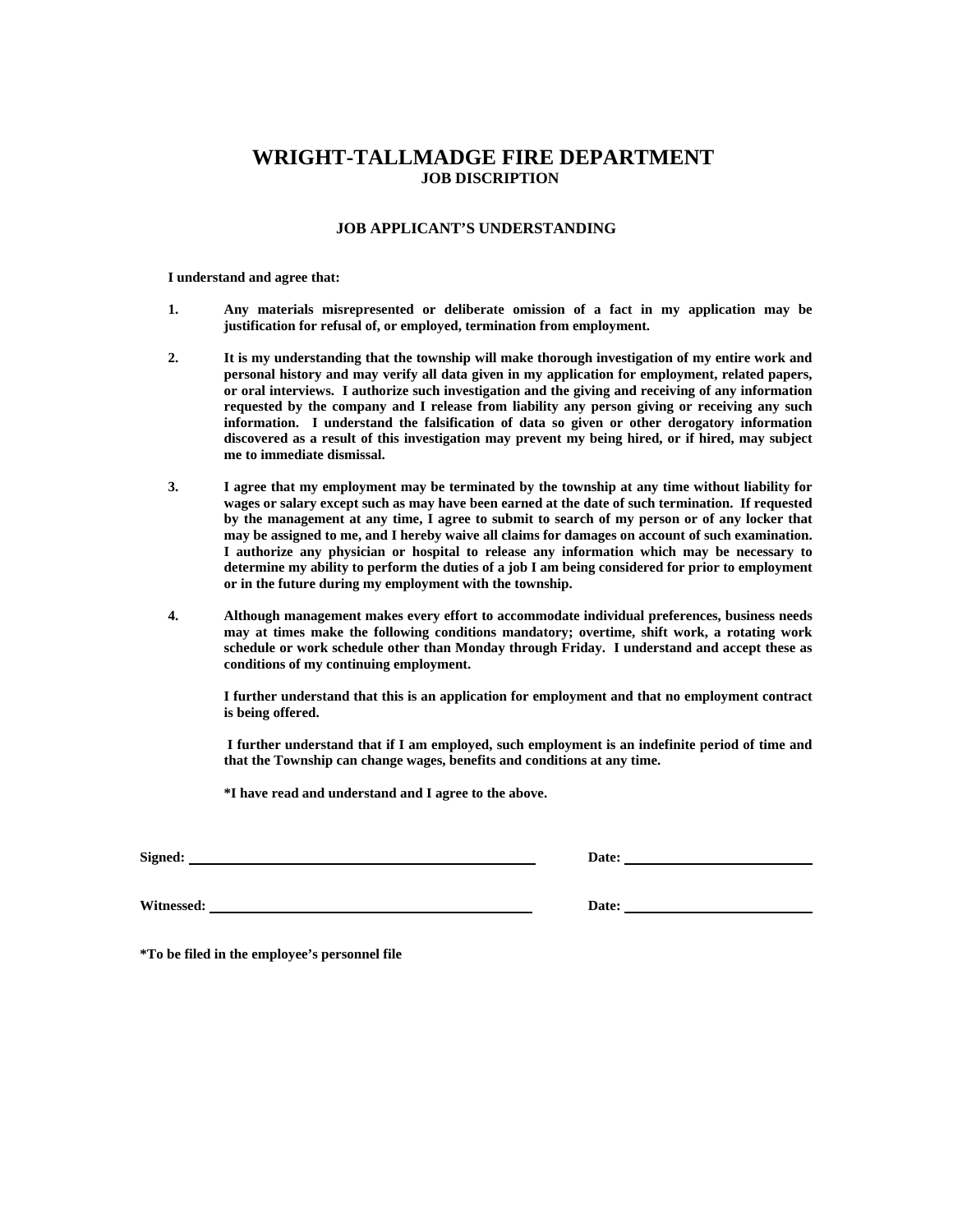### **JOB APPLICANT'S UNDERSTANDING**

#### **I understand and agree that:**

- **1. Any materials misrepresented or deliberate omission of a fact in my application may be justification for refusal of, or employed, termination from employment.**
- **2. It is my understanding that the township will make thorough investigation of my entire work and personal history and may verify all data given in my application for employment, related papers, or oral interviews. I authorize such investigation and the giving and receiving of any information requested by the company and I release from liability any person giving or receiving any such information. I understand the falsification of data so given or other derogatory information discovered as a result of this investigation may prevent my being hired, or if hired, may subject me to immediate dismissal.**
- **3. I agree that my employment may be terminated by the township at any time without liability for wages or salary except such as may have been earned at the date of such termination. If requested by the management at any time, I agree to submit to search of my person or of any locker that may be assigned to me, and I hereby waive all claims for damages on account of such examination. I authorize any physician or hospital to release any information which may be necessary to determine my ability to perform the duties of a job I am being considered for prior to employment or in the future during my employment with the township.**
- **4. Although management makes every effort to accommodate individual preferences, business needs may at times make the following conditions mandatory; overtime, shift work, a rotating work schedule or work schedule other than Monday through Friday. I understand and accept these as conditions of my continuing employment.**

**I further understand that this is an application for employment and that no employment contract is being offered.** 

 **I further understand that if I am employed, such employment is an indefinite period of time and that the Township can change wages, benefits and conditions at any time.** 

**\*I have read and understand and I agree to the above.** 

**Signed: Date:** 

**Witnessed: Date:** 

**\*To be filed in the employee's personnel file**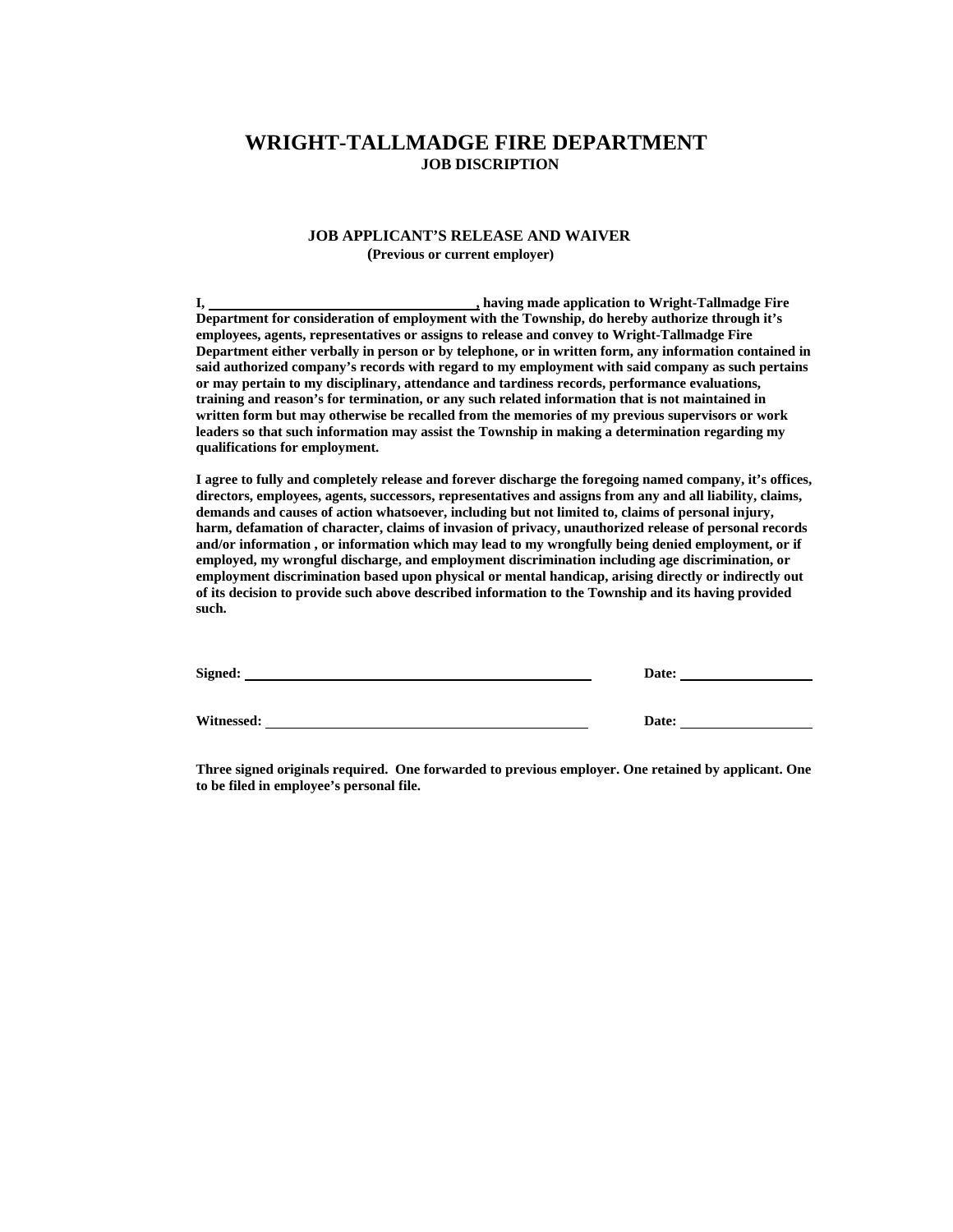### **JOB APPLICANT'S RELEASE AND WAIVER (Previous or current employer)**

**I, the contract of the contract of the contract of the contract of the contract of the contract of the contract of the contract of the contract of the contract of the contract of the contract of the contract of the contra Department for consideration of employment with the Township, do hereby authorize through it's employees, agents, representatives or assigns to release and convey to Wright-Tallmadge Fire Department either verbally in person or by telephone, or in written form, any information contained in said authorized company's records with regard to my employment with said company as such pertains or may pertain to my disciplinary, attendance and tardiness records, performance evaluations, training and reason's for termination, or any such related information that is not maintained in written form but may otherwise be recalled from the memories of my previous supervisors or work leaders so that such information may assist the Township in making a determination regarding my qualifications for employment.** 

**I agree to fully and completely release and forever discharge the foregoing named company, it's offices, directors, employees, agents, successors, representatives and assigns from any and all liability, claims, demands and causes of action whatsoever, including but not limited to, claims of personal injury, harm, defamation of character, claims of invasion of privacy, unauthorized release of personal records and/or information , or information which may lead to my wrongfully being denied employment, or if employed, my wrongful discharge, and employment discrimination including age discrimination, or employment discrimination based upon physical or mental handicap, arising directly or indirectly out of its decision to provide such above described information to the Township and its having provided such.** 

| Signed:    | Date: |
|------------|-------|
| Witnessed: | Date: |

**Three signed originals required. One forwarded to previous employer. One retained by applicant. One to be filed in employee's personal file.**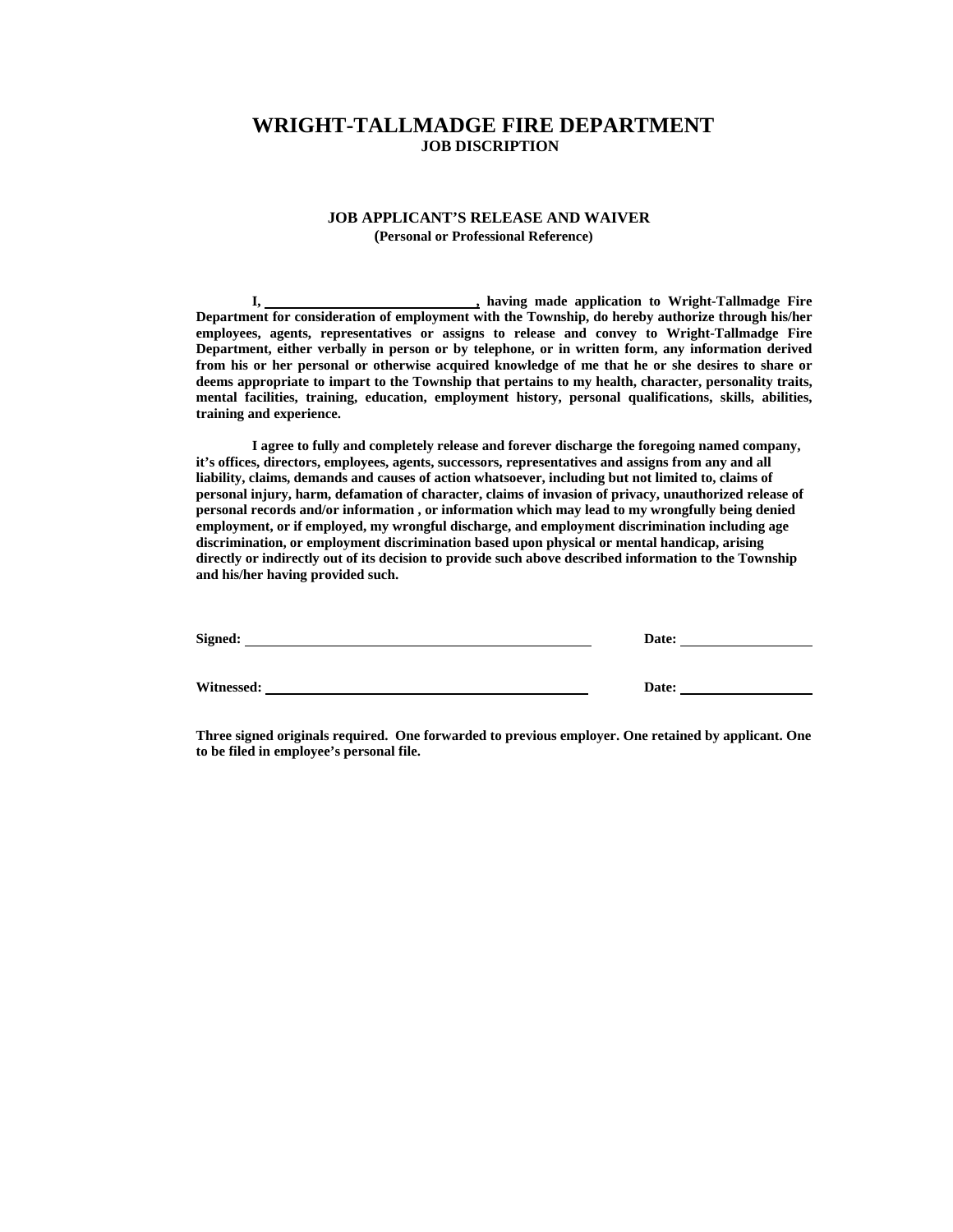## **JOB APPLICANT'S RELEASE AND WAIVER**

 **(Personal or Professional Reference)** 

**I, , having made application to Wright-Tallmadge Fire Department for consideration of employment with the Township, do hereby authorize through his/her employees, agents, representatives or assigns to release and convey to Wright-Tallmadge Fire Department, either verbally in person or by telephone, or in written form, any information derived from his or her personal or otherwise acquired knowledge of me that he or she desires to share or deems appropriate to impart to the Township that pertains to my health, character, personality traits, mental facilities, training, education, employment history, personal qualifications, skills, abilities, training and experience.** 

 **I agree to fully and completely release and forever discharge the foregoing named company, it's offices, directors, employees, agents, successors, representatives and assigns from any and all liability, claims, demands and causes of action whatsoever, including but not limited to, claims of personal injury, harm, defamation of character, claims of invasion of privacy, unauthorized release of personal records and/or information , or information which may lead to my wrongfully being denied employment, or if employed, my wrongful discharge, and employment discrimination including age discrimination, or employment discrimination based upon physical or mental handicap, arising directly or indirectly out of its decision to provide such above described information to the Township and his/her having provided such.** 

| Signed:    | Date: |
|------------|-------|
|            |       |
| Witnessed: | Date: |

**Three signed originals required. One forwarded to previous employer. One retained by applicant. One to be filed in employee's personal file.**